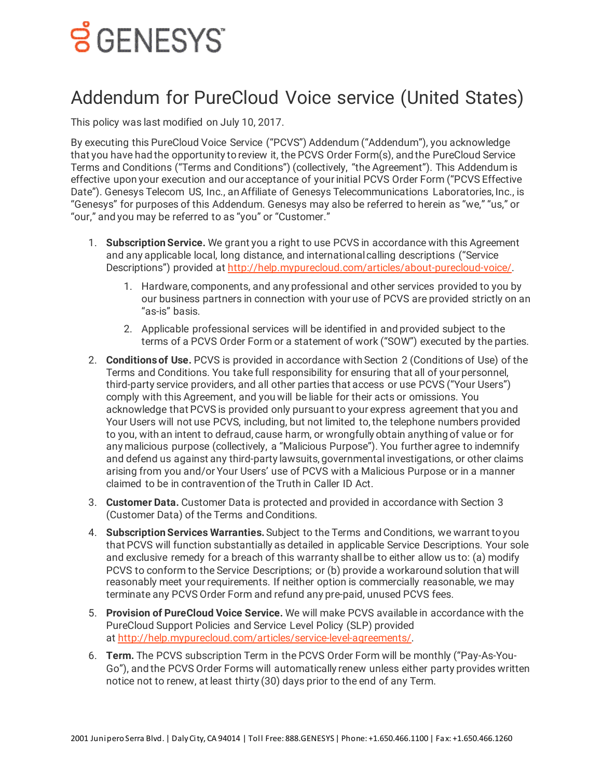## <u>ទ័CENESYS</u>

## Addendum for PureCloud Voice service (United States)

This policy was last modified on July 10, 2017.

By executing this PureCloud Voice Service ("PCVS") Addendum ("Addendum"), you acknowledge that you have had the opportunity to review it, the PCVS Order Form(s), and the PureCloud Service Terms and Conditions ("Terms and Conditions") (collectively, "the Agreement"). This Addendum is effective upon your execution and our acceptance of your initial PCVS Order Form ("PCVS Effective Date"). Genesys Telecom US, Inc., an Affiliate of Genesys Telecommunications Laboratories, Inc., is "Genesys" for purposes of this Addendum. Genesys may also be referred to herein as "we," "us," or "our," and you may be referred to as "you" or "Customer."

- 1. **Subscription Service.** We grant you a right to use PCVS in accordance with this Agreement and any applicable local, long distance, and international calling descriptions ("Service Descriptions") provided at [http://help.mypurecloud.com/articles/about-purecloud-voice/.](https://rcstaging.wpengine.com/?p=60252)
	- 1. Hardware, components, and any professional and other services provided to you by our business partners in connection with your use of PCVS are provided strictly on an "as-is" basis.
	- 2. Applicable professional services will be identified in and provided subject to the terms of a PCVS Order Form or a statement of work ("SOW") executed by the parties.
- 2. **Conditions of Use.** PCVS is provided in accordance with Section 2 (Conditions of Use) of the Terms and Conditions. You take full responsibility for ensuring that all of your personnel, third-party service providers, and all other parties that access or use PCVS ("Your Users") comply with this Agreement, and you will be liable for their acts or omissions. You acknowledge that PCVS is provided only pursuant to your express agreement that you and Your Users will not use PCVS, including, but not limited to, the telephone numbers provided to you, with an intent to defraud, cause harm, or wrongfully obtain anything of value or for any malicious purpose (collectively, a "Malicious Purpose"). You further agree to indemnify and defend us against any third-party lawsuits, governmental investigations, or other claims arising from you and/or Your Users' use of PCVS with a Malicious Purpose or in a manner claimed to be in contravention of the Truth in Caller ID Act.
- 3. **Customer Data.** Customer Data is protected and provided in accordance with Section 3 (Customer Data) of the Terms and Conditions.
- 4. **Subscription Services Warranties.**Subject to the Terms and Conditions, we warrant to you that PCVS will function substantially as detailed in applicable Service Descriptions. Your sole and exclusive remedy for a breach of this warranty shall be to either allow us to: (a) modify PCVS to conform to the Service Descriptions; or (b) provide a workaround solution that will reasonably meet your requirements. If neither option is commercially reasonable, we may terminate any PCVS Order Form and refund any pre-paid, unused PCVS fees.
- 5. **Provision of PureCloud Voice Service.** We will make PCVS available in accordance with the PureCloud Support Policies and Service Level Policy (SLP) provided at [http://help.mypurecloud.com/articles/service-level-agreements/.](https://rcstaging.wpengine.com/?p=17350)
- 6. **Term.** The PCVS subscription Term in the PCVS Order Form will be monthly ("Pay-As-You-Go"), and the PCVS Order Forms will automatically renew unless either party provides written notice not to renew, at least thirty (30) days prior to the end of any Term.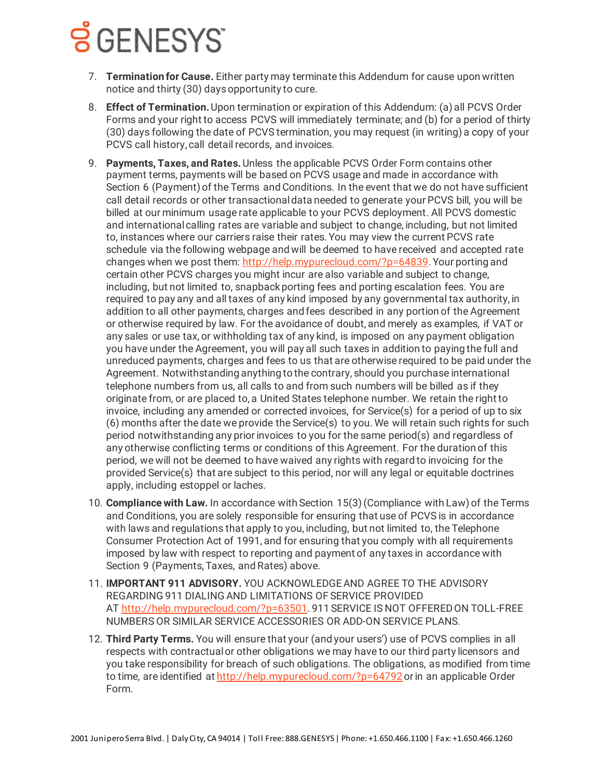## **Š** GENESYS

- 7. **Termination for Cause.** Either party may terminate this Addendum for cause upon written notice and thirty (30) days opportunity to cure.
- 8. **Effect of Termination.**Upon termination or expiration of this Addendum: (a) all PCVS Order Forms and your right to access PCVS will immediately terminate; and (b) for a period of thirty (30) days following the date of PCVS termination, you may request (in writing) a copy of your PCVS call history, call detail records, and invoices.
- 9. **Payments, Taxes, and Rates.**Unless the applicable PCVS Order Form contains other payment terms, payments will be based on PCVS usage and made in accordance with Section 6 (Payment) of the Terms and Conditions. In the event that we do not have sufficient call detail records or other transactional data needed to generate your PCVS bill, you will be billed at our minimum usage rate applicable to your PCVS deployment. All PCVS domestic and international calling rates are variable and subject to change, including, but not limited to, instances where our carriers raise their rates. You may view the current PCVS rate schedule via the following webpage and will be deemed to have received and accepted rate changes when we post them: [http://help.mypurecloud.com/?p=64839](http://rcstaging.wpengine.com/?p=64839). Your porting and certain other PCVS charges you might incur are also variable and subject to change, including, but not limited to, snapback porting fees and porting escalation fees. You are required to pay any and all taxes of any kind imposed by any governmental tax authority, in addition to all other payments, charges and fees described in any portion of the Agreement or otherwise required by law. For the avoidance of doubt, and merely as examples, if VAT or any sales or use tax, or withholding tax of any kind, is imposed on any payment obligation you have under the Agreement, you will pay all such taxes in addition to paying the full and unreduced payments, charges and fees to us that are otherwise required to be paid under the Agreement. Notwithstanding anything to the contrary, should you purchase international telephone numbers from us, all calls to and from such numbers will be billed as if they originate from, or are placed to, a United States telephone number. We retain the right to invoice, including any amended or corrected invoices, for Service(s) for a period of up to six (6) months after the date we provide the Service(s) to you. We will retain such rights for such period notwithstanding any prior invoices to you for the same period(s) and regardless of any otherwise conflicting terms or conditions of this Agreement. For the duration of this period, we will not be deemed to have waived any rights with regard to invoicing for the provided Service(s) that are subject to this period, nor will any legal or equitable doctrines apply, including estoppel or laches.
- 10. **Compliance with Law.** In accordance with Section 15(3) (Compliance with Law) of the Terms and Conditions, you are solely responsible for ensuring that use of PCVS is in accordance with laws and regulations that apply to you, including, but not limited to, the Telephone Consumer Protection Act of 1991, and for ensuring that you comply with all requirements imposed by law with respect to reporting and payment of any taxes in accordance with Section 9 (Payments, Taxes, and Rates) above.
- 11. **IMPORTANT 911 ADVISORY.** YOU ACKNOWLEDGE AND AGREE TO THE ADVISORY REGARDING 911 DIALING AND LIMITATIONS OF SERVICE PROVIDED AT [http://help.mypurecloud.com/?p=63501.](http://rcstaging.wpengine.com/?p=63501) 911 SERVICE IS NOT OFFERED ON TOLL-FREE NUMBERS OR SIMILAR SERVICE ACCESSORIES OR ADD-ON SERVICE PLANS.
- 12. **Third Party Terms.** You will ensure that your (and your users') use of PCVS complies in all respects with contractual or other obligations we may have to our third party licensors and you take responsibility for breach of such obligations. The obligations, as modified from time to time, are identified at [http://help.mypurecloud.com/?p=64792](http://rcstaging.wpengine.com/?p=64792) or in an applicable Order Form.